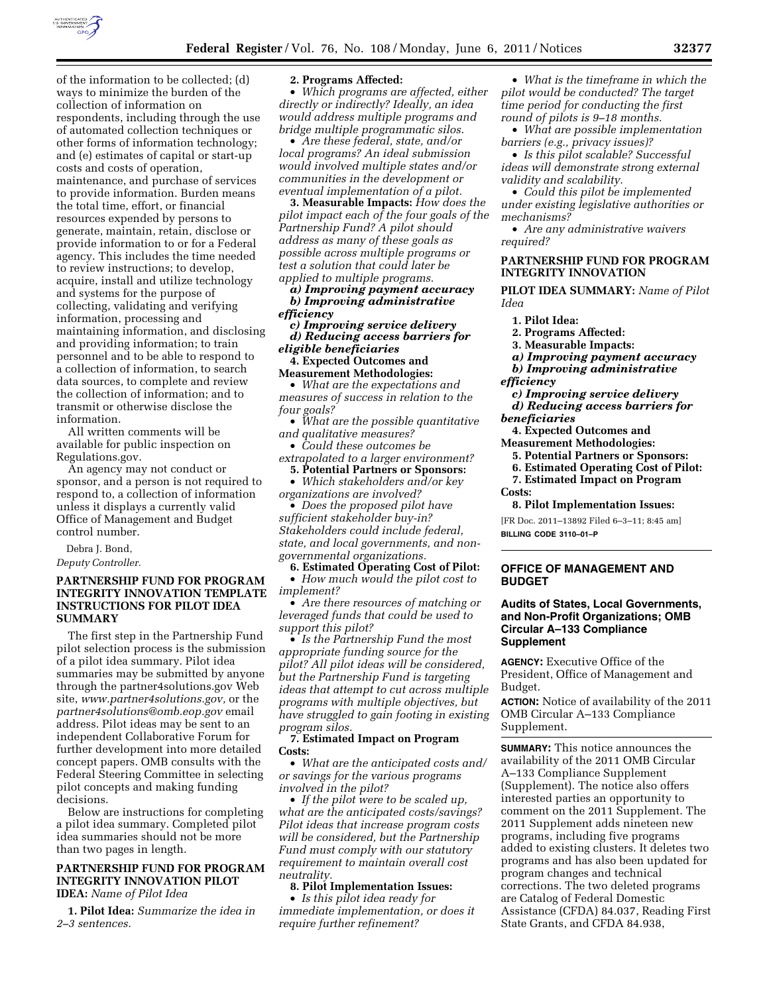

of the information to be collected; (d) ways to minimize the burden of the collection of information on respondents, including through the use of automated collection techniques or other forms of information technology; and (e) estimates of capital or start-up costs and costs of operation, maintenance, and purchase of services to provide information. Burden means the total time, effort, or financial resources expended by persons to generate, maintain, retain, disclose or provide information to or for a Federal agency. This includes the time needed to review instructions; to develop, acquire, install and utilize technology and systems for the purpose of collecting, validating and verifying information, processing and maintaining information, and disclosing and providing information; to train personnel and to be able to respond to a collection of information, to search data sources, to complete and review the collection of information; and to transmit or otherwise disclose the information.

All written comments will be available for public inspection on Regulations.gov.

An agency may not conduct or sponsor, and a person is not required to respond to, a collection of information unless it displays a currently valid Office of Management and Budget control number.

Debra J. Bond, *Deputy Controller.* 

## **PARTNERSHIP FUND FOR PROGRAM INTEGRITY INNOVATION TEMPLATE INSTRUCTIONS FOR PILOT IDEA SUMMARY**

The first step in the Partnership Fund pilot selection process is the submission of a pilot idea summary. Pilot idea summaries may be submitted by anyone through the partner4solutions.gov Web site, *[www.partner4solutions.gov,](http://www.partner4solutions.gov)* or the *[partner4solutions@omb.eop.gov](mailto:partner4solutions@omb.eop.gov)* email address. Pilot ideas may be sent to an independent Collaborative Forum for further development into more detailed concept papers. OMB consults with the Federal Steering Committee in selecting pilot concepts and making funding decisions.

Below are instructions for completing a pilot idea summary. Completed pilot idea summaries should not be more than two pages in length.

### **PARTNERSHIP FUND FOR PROGRAM INTEGRITY INNOVATION PILOT IDEA:** *Name of Pilot Idea*

**1. Pilot Idea:** *Summarize the idea in 2–3 sentences.* 

### **2. Programs Affected:**

• *Which programs are affected, either directly or indirectly? Ideally, an idea would address multiple programs and bridge multiple programmatic silos*.

• *Are these federal, state, and/or local programs? An ideal submission would involved multiple states and/or communities in the development or eventual implementation of a pilot.* 

**3. Measurable Impacts:** *How does the pilot impact each of the four goals of the Partnership Fund? A pilot should address as many of these goals as possible across multiple programs or test a solution that could later be applied to multiple programs.* 

*a) Improving payment accuracy b) Improving administrative efficiency* 

*c) Improving service delivery d) Reducing access barriers for eligible beneficiaries* 

**4. Expected Outcomes and Measurement Methodologies:** 

• *What are the expectations and measures of success in relation to the four goals?* 

• *What are the possible quantitative and qualitative measures?* 

• *Could these outcomes be extrapolated to a larger environment?* 

**5. Potential Partners or Sponsors:**  • *Which stakeholders and/or key* 

*organizations are involved?*  • *Does the proposed pilot have sufficient stakeholder buy-in?* 

*Stakeholders could include federal, state, and local governments, and nongovernmental organizations.* 

**6. Estimated Operating Cost of Pilot:**  • *How much would the pilot cost to implement?* 

• *Are there resources of matching or leveraged funds that could be used to support this pilot?* 

• *Is the Partnership Fund the most appropriate funding source for the pilot? All pilot ideas will be considered, but the Partnership Fund is targeting ideas that attempt to cut across multiple programs with multiple objectives, but have struggled to gain footing in existing program silos.* 

**7. Estimated Impact on Program Costs:** 

• *What are the anticipated costs and/ or savings for the various programs involved in the pilot?* 

• *If the pilot were to be scaled up, what are the anticipated costs/savings? Pilot ideas that increase program costs will be considered, but the Partnership Fund must comply with our statutory requirement to maintain overall cost neutrality.* 

#### **8. Pilot Implementation Issues:**

• *Is this pilot idea ready for immediate implementation, or does it require further refinement?* 

• *What is the timeframe in which the pilot would be conducted? The target time period for conducting the first round of pilots is 9–18 months.* 

• *What are possible implementation barriers (e.g., privacy issues)?* 

• *Is this pilot scalable? Successful ideas will demonstrate strong external validity and scalability.* 

• *Could this pilot be implemented under existing legislative authorities or mechanisms?* 

• *Are any administrative waivers required?* 

### **PARTNERSHIP FUND FOR PROGRAM INTEGRITY INNOVATION**

**PILOT IDEA SUMMARY:** *Name of Pilot Idea* 

- **1. Pilot Idea:**
- **2. Programs Affected:**
- **3. Measurable Impacts:**
- *a) Improving payment accuracy*
- *b) Improving administrative*
- *efficiency*

*c) Improving service delivery* 

*d) Reducing access barriers for beneficiaries* 

**4. Expected Outcomes and** 

- **Measurement Methodologies:** 
	- **5. Potential Partners or Sponsors:**
	- **6. Estimated Operating Cost of Pilot:**
- **7. Estimated Impact on Program Costs:**

**8. Pilot Implementation Issues:** 

[FR Doc. 2011–13892 Filed 6–3–11; 8:45 am]

**BILLING CODE 3110–01–P** 

### **OFFICE OF MANAGEMENT AND BUDGET**

## **Audits of States, Local Governments, and Non-Profit Organizations; OMB Circular A–133 Compliance Supplement**

**AGENCY:** Executive Office of the President, Office of Management and Budget.

**ACTION:** Notice of availability of the 2011 OMB Circular A–133 Compliance Supplement.

**SUMMARY:** This notice announces the availability of the 2011 OMB Circular A–133 Compliance Supplement (Supplement). The notice also offers interested parties an opportunity to comment on the 2011 Supplement. The 2011 Supplement adds nineteen new programs, including five programs added to existing clusters. It deletes two programs and has also been updated for program changes and technical corrections. The two deleted programs are Catalog of Federal Domestic Assistance (CFDA) 84.037, Reading First State Grants, and CFDA 84.938,